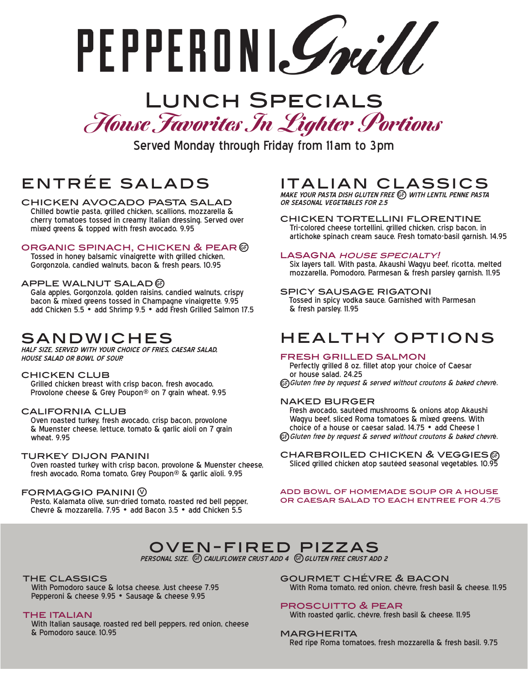PEPPERDNI. Smill

# Lunch Specials House Favorites In Lighter Portions

Served Monday through Friday from 11 am to 3pm

## entrée salads

chicken avocado pasta salad Chilled bowtie pasta, grilled chicken, scallions, mozzarella & cherry tomatoes tossed in creamy Italian dressing. Served over mixed greens & topped with fresh avocado. 9.95

#### ORGANIC SPINACH, CHICKEN & PEAR G

 Tossed in honey balsamic vinaigrette with grilled chicken, Gorgonzola, candied walnuts, bacon & fresh pears. 10.95

#### APPLE WALNUT SALAD  $@$

 Gala apples, Gorgonzola, golden raisins, candied walnuts, crispy bacon & mixed greens tossed in Champagne vinaigrette. 9.95 add Chicken 5.5 • add Shrimp 9.5 • add Fresh Grilled Salmon 17.5

### sandwiches

**HALF SIZE, SERVED WITH YOUR CHOICE OF FRIES, CAESAR SALAD, HOUSE SALAD OR BOWL OF SOUP.** 

#### chicken club

 Grilled chicken breast with crisp bacon, fresh avocado, Provolone cheese & Grey Poupon® on 7 grain wheat. 9.95

#### california club

 Oven roasted turkey, fresh avocado, crisp bacon, provolone & Muenster cheese, lettuce, tomato & garlic aioli on 7 grain wheat. 9.95

#### turkey dijon panini

 Oven roasted turkey with crisp bacon, provolone & Muenster cheese, fresh avocado, Roma tomato, Grey Poupon® & garlic aïoli. 9.95

#### FORMAGGIO PANINI (V)

Pesto, Kalamata olive, sun-dried tomato, roasted red bell pepper, Chevré & mozzarella. 7.95 • add Bacon 3.5 • add Chicken 5.5

### italian classics

**MAKE YOUR PASTA DISH GLUTEN FREE WITH LENTIL PENNE PASTA**  GF **OR SEASONAL VEGETABLES FOR 2.5**

chicken tortellini florentine Tri-colored cheese tortellini, grilled chicken, crisp bacon, in artichoke spinach cream sauce. Fresh tomato-basil garnish. 14.95

#### LASAGNA HOUSE SPECIALTY!

 Six layers tall. With pasta, Akaushi Wagyu beef, ricotta, melted mozzarella, Pomodoro, Parmesan & fresh parsley garnish. 11.95

#### spicy sausage rigatoni

 Tossed in spicy vodka sauce. Garnished with Parmesan & fresh parsley. 11.95

### healthy options

#### fresh grilled salmon

 Perfectly grilled 8 oz. fillet atop your choice of Caesar or house salad. 24.25

GF) Gluten free by request & served without croutons & baked chevré.

#### naked burger

 Fresh avocado, sautéed mushrooms & onions atop Akaushi Wagyu beef, sliced Roma tomatoes & mixed greens. With choice of a house or caesar salad. 14.75 • add Cheese 1 GF) Gluten free by request & served without croutons & baked chevré.

CHARBROILED CHICKEN & VEGGIESG Sliced grilled chicken atop sautéed seasonal vegetables. 10.95

add bowl of homemade soup or a house or caesar salad to each entree for 4.75

## oven-fired pizzas

PERSONAL SIZE. (GF) CAULIFLOWER CRUST ADD 4 (GF) GLUTEN FREE CRUST ADD 2

#### the classics

 With Pomodoro sauce & lotsa cheese. Just cheese 7.95 Pepperoni & cheese 9.95 • Sausage & cheese 9.95

#### **THE ITALIAN**

 With Italian sausage, roasted red bell peppers, red onion, cheese & Pomodoro sauce. 10.95

gourmet chévre & bacon With Roma tomato, red onion, chévre, fresh basil & cheese. 11.95

#### proscuitto & pear

With roasted garlic, chévre, fresh basil & cheese. 11.95

#### **MARGHERITA**

Red ripe Roma tomatoes, fresh mozzarella & fresh basil. 9.75